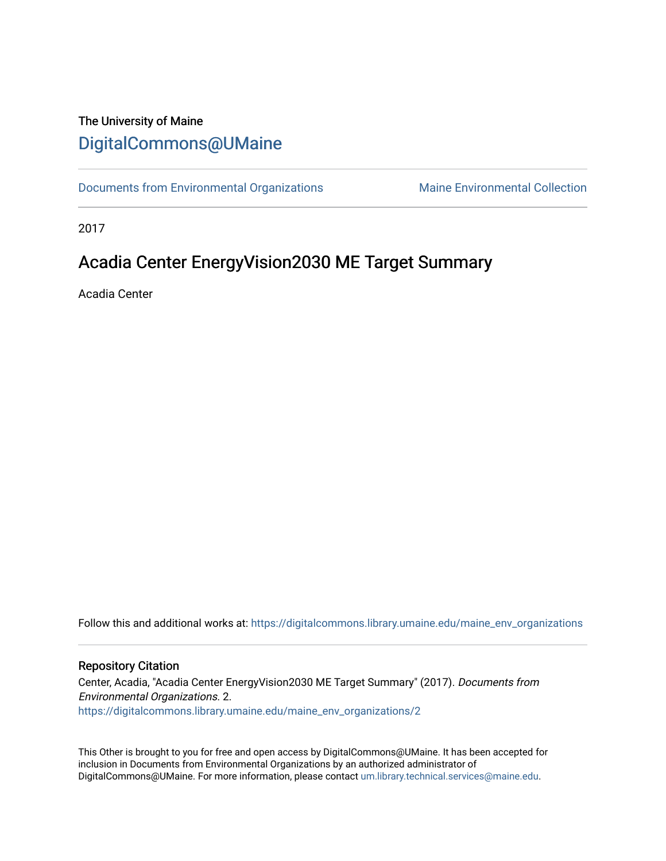#### The University of Maine [DigitalCommons@UMaine](https://digitalcommons.library.umaine.edu/)

[Documents from Environmental Organizations](https://digitalcommons.library.umaine.edu/maine_env_organizations) Maine Environmental Collection

2017

### Acadia Center EnergyVision2030 ME Target Summary

Acadia Center

Follow this and additional works at: [https://digitalcommons.library.umaine.edu/maine\\_env\\_organizations](https://digitalcommons.library.umaine.edu/maine_env_organizations?utm_source=digitalcommons.library.umaine.edu%2Fmaine_env_organizations%2F2&utm_medium=PDF&utm_campaign=PDFCoverPages)

#### Repository Citation

Center, Acadia, "Acadia Center EnergyVision2030 ME Target Summary" (2017). Documents from Environmental Organizations. 2. [https://digitalcommons.library.umaine.edu/maine\\_env\\_organizations/2](https://digitalcommons.library.umaine.edu/maine_env_organizations/2?utm_source=digitalcommons.library.umaine.edu%2Fmaine_env_organizations%2F2&utm_medium=PDF&utm_campaign=PDFCoverPages) 

This Other is brought to you for free and open access by DigitalCommons@UMaine. It has been accepted for inclusion in Documents from Environmental Organizations by an authorized administrator of DigitalCommons@UMaine. For more information, please contact [um.library.technical.services@maine.edu](mailto:um.library.technical.services@maine.edu).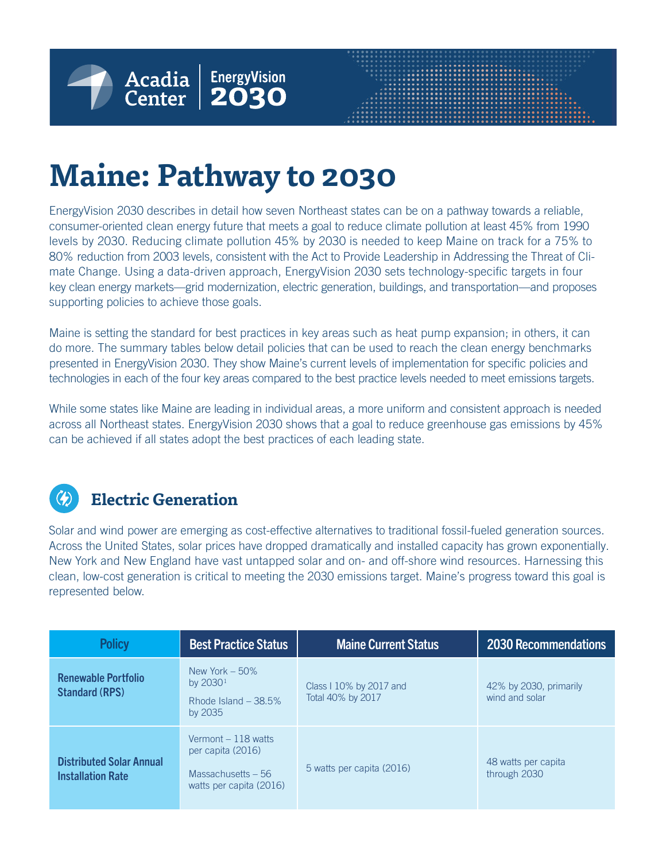

# **Maine: Pathway to 2030**

EnergyVision 2030 describes in detail how seven Northeast states can be on a pathway towards a reliable, consumer-oriented clean energy future that meets a goal to reduce climate pollution at least 45% from 1990 levels by 2030. Reducing climate pollution 45% by 2030 is needed to keep Maine on track for a 75% to 80% reduction from 2003 levels, consistent with the Act to Provide Leadership in Addressing the Threat of Climate Change. Using a data-driven approach, EnergyVision 2030 sets technology-specific targets in four key clean energy markets—grid modernization, electric generation, buildings, and transportation—and proposes supporting policies to achieve those goals.

Maine is setting the standard for best practices in key areas such as heat pump expansion; in others, it can do more. The summary tables below detail policies that can be used to reach the clean energy benchmarks presented in EnergyVision 2030. They show Maine's current levels of implementation for specific policies and technologies in each of the four key areas compared to the best practice levels needed to meet emissions targets.

While some states like Maine are leading in individual areas, a more uniform and consistent approach is needed across all Northeast states. EnergyVision 2030 shows that a goal to reduce greenhouse gas emissions by 45% can be achieved if all states adopt the best practices of each leading state.

#### **Electric Generation**

Solar and wind power are emerging as cost-effective alternatives to traditional fossil-fueled generation sources. Across the United States, solar prices have dropped dramatically and installed capacity has grown exponentially. New York and New England have vast untapped solar and on- and off-shore wind resources. Harnessing this clean, low-cost generation is critical to meeting the 2030 emissions target. Maine's progress toward this goal is represented below.

| <b>Policy</b>                                               | <b>Best Practice Status</b>                                                                 | <b>Maine Current Status</b>                  | <b>2030 Recommendations</b>              |
|-------------------------------------------------------------|---------------------------------------------------------------------------------------------|----------------------------------------------|------------------------------------------|
| <b>Renewable Portfolio</b><br><b>Standard (RPS)</b>         | New York $-50\%$<br>by $20301$<br>Rhode Island $-38.5%$<br>by 2035                          | Class I 10% by 2017 and<br>Total 40% by 2017 | 42% by 2030, primarily<br>wind and solar |
| <b>Distributed Solar Annual</b><br><b>Installation Rate</b> | Vermont $-118$ watts<br>per capita (2016)<br>Massachusetts $-56$<br>watts per capita (2016) | 5 watts per capita (2016)                    | 48 watts per capita<br>through 2030      |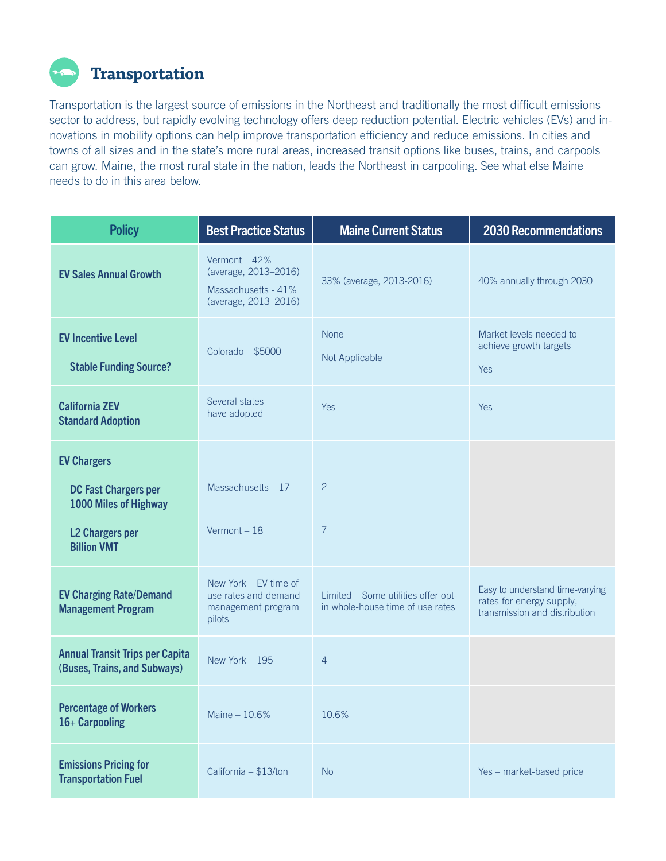

Transportation is the largest source of emissions in the Northeast and traditionally the most difficult emissions sector to address, but rapidly evolving technology offers deep reduction potential. Electric vehicles (EVs) and innovations in mobility options can help improve transportation efficiency and reduce emissions. In cities and towns of all sizes and in the state's more rural areas, increased transit options like buses, trains, and carpools can grow. Maine, the most rural state in the nation, leads the Northeast in carpooling. See what else Maine needs to do in this area below.

| <b>Policy</b>                                                                                                              | <b>Best Practice Status</b>                                                          | <b>Maine Current Status</b>                                             | <b>2030 Recommendations</b>                                                                  |
|----------------------------------------------------------------------------------------------------------------------------|--------------------------------------------------------------------------------------|-------------------------------------------------------------------------|----------------------------------------------------------------------------------------------|
| <b>EV Sales Annual Growth</b>                                                                                              | Vermont - 42%<br>(average, 2013-2016)<br>Massachusetts - 41%<br>(average, 2013-2016) | 33% (average, 2013-2016)                                                | 40% annually through 2030                                                                    |
| <b>EV Incentive Level</b><br><b>Stable Funding Source?</b>                                                                 | Colorado - \$5000                                                                    | <b>None</b><br>Not Applicable                                           | Market levels needed to<br>achieve growth targets<br>Yes                                     |
| <b>California ZEV</b><br><b>Standard Adoption</b>                                                                          | Several states<br>have adopted                                                       | <b>Yes</b>                                                              | <b>Yes</b>                                                                                   |
| <b>EV Chargers</b><br><b>DC Fast Chargers per</b><br>1000 Miles of Highway<br><b>L2 Chargers per</b><br><b>Billion VMT</b> | Massachusetts $-17$<br>Vermont-18                                                    | $\overline{2}$<br>7                                                     |                                                                                              |
| <b>EV Charging Rate/Demand</b><br><b>Management Program</b>                                                                | New York - EV time of<br>use rates and demand<br>management program<br>pilots        | Limited - Some utilities offer opt-<br>in whole-house time of use rates | Easy to understand time-varying<br>rates for energy supply,<br>transmission and distribution |
| <b>Annual Transit Trips per Capita</b><br>(Buses, Trains, and Subways)                                                     | New York $-195$                                                                      | $\overline{4}$                                                          |                                                                                              |
| <b>Percentage of Workers</b><br>16+ Carpooling                                                                             | Maine $-10.6%$                                                                       | 10.6%                                                                   |                                                                                              |
| <b>Emissions Pricing for</b><br><b>Transportation Fuel</b>                                                                 | California - \$13/ton                                                                | <b>No</b>                                                               | Yes - market-based price                                                                     |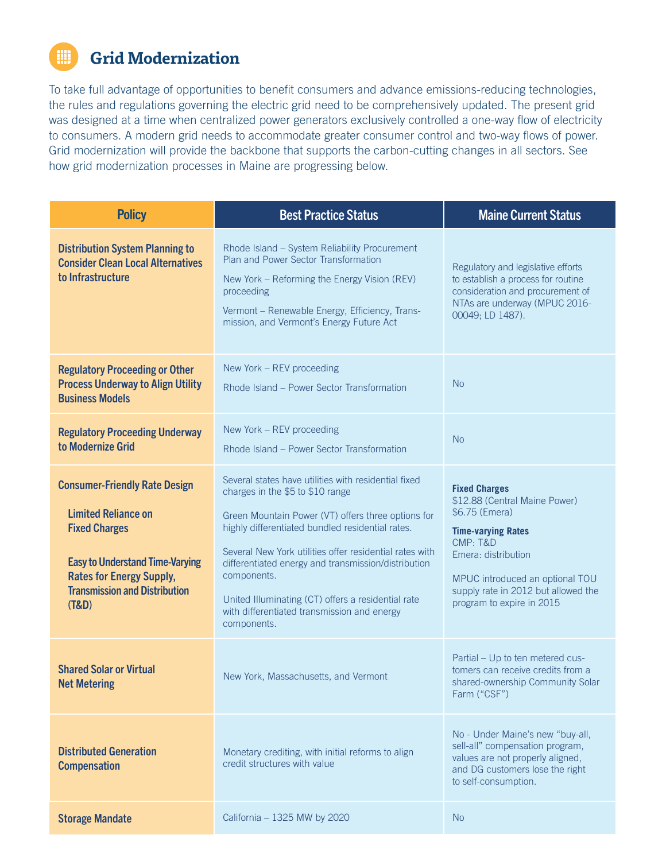# **Grid Modernization**

To take full advantage of opportunities to benefit consumers and advance emissions-reducing technologies, the rules and regulations governing the electric grid need to be comprehensively updated. The present grid was designed at a time when centralized power generators exclusively controlled a one-way flow of electricity to consumers. A modern grid needs to accommodate greater consumer control and two-way flows of power. Grid modernization will provide the backbone that supports the carbon-cutting changes in all sectors. See how grid modernization processes in Maine are progressing below.

| <b>Policy</b>                                                                                                                                                                                                            | <b>Best Practice Status</b>                                                                                                                                                                                                                                                                                                                                                                                                                             | <b>Maine Current Status</b>                                                                                                                                                                                                                    |  |
|--------------------------------------------------------------------------------------------------------------------------------------------------------------------------------------------------------------------------|---------------------------------------------------------------------------------------------------------------------------------------------------------------------------------------------------------------------------------------------------------------------------------------------------------------------------------------------------------------------------------------------------------------------------------------------------------|------------------------------------------------------------------------------------------------------------------------------------------------------------------------------------------------------------------------------------------------|--|
| <b>Distribution System Planning to</b><br><b>Consider Clean Local Alternatives</b><br>to Infrastructure                                                                                                                  | Rhode Island - System Reliability Procurement<br>Plan and Power Sector Transformation<br>New York - Reforming the Energy Vision (REV)<br>proceeding<br>Vermont - Renewable Energy, Efficiency, Trans-<br>mission, and Vermont's Energy Future Act                                                                                                                                                                                                       | Regulatory and legislative efforts<br>to establish a process for routine<br>consideration and procurement of<br>NTAs are underway (MPUC 2016-<br>00049; LD 1487).                                                                              |  |
| <b>Regulatory Proceeding or Other</b><br><b>Process Underway to Align Utility</b><br><b>Business Models</b>                                                                                                              | New York - REV proceeding<br>Rhode Island - Power Sector Transformation                                                                                                                                                                                                                                                                                                                                                                                 | <b>No</b>                                                                                                                                                                                                                                      |  |
| <b>Regulatory Proceeding Underway</b><br>to Modernize Grid                                                                                                                                                               | New York - REV proceeding<br>Rhode Island – Power Sector Transformation                                                                                                                                                                                                                                                                                                                                                                                 | <b>No</b>                                                                                                                                                                                                                                      |  |
| <b>Consumer-Friendly Rate Design</b><br><b>Limited Reliance on</b><br><b>Fixed Charges</b><br><b>Easy to Understand Time-Varying</b><br><b>Rates for Energy Supply,</b><br><b>Transmission and Distribution</b><br>(T&D) | Several states have utilities with residential fixed<br>charges in the \$5 to \$10 range<br>Green Mountain Power (VT) offers three options for<br>highly differentiated bundled residential rates.<br>Several New York utilities offer residential rates with<br>differentiated energy and transmission/distribution<br>components.<br>United Illuminating (CT) offers a residential rate<br>with differentiated transmission and energy<br>components. | <b>Fixed Charges</b><br>\$12.88 (Central Maine Power)<br>\$6.75 (Emera)<br><b>Time-varying Rates</b><br>CMP: T&D<br>Emera: distribution<br>MPUC introduced an optional TOU<br>supply rate in 2012 but allowed the<br>program to expire in 2015 |  |
| <b>Shared Solar or Virtual</b><br><b>Net Metering</b>                                                                                                                                                                    | New York, Massachusetts, and Vermont                                                                                                                                                                                                                                                                                                                                                                                                                    | Partial - Up to ten metered cus-<br>tomers can receive credits from a<br>shared-ownership Community Solar<br>Farm ("CSF")                                                                                                                      |  |
| <b>Distributed Generation</b><br><b>Compensation</b>                                                                                                                                                                     | Monetary crediting, with initial reforms to align<br>credit structures with value                                                                                                                                                                                                                                                                                                                                                                       | No - Under Maine's new "buy-all,<br>sell-all" compensation program,<br>values are not properly aligned,<br>and DG customers lose the right<br>to self-consumption.                                                                             |  |
| <b>Storage Mandate</b>                                                                                                                                                                                                   | California - 1325 MW by 2020                                                                                                                                                                                                                                                                                                                                                                                                                            | <b>No</b>                                                                                                                                                                                                                                      |  |